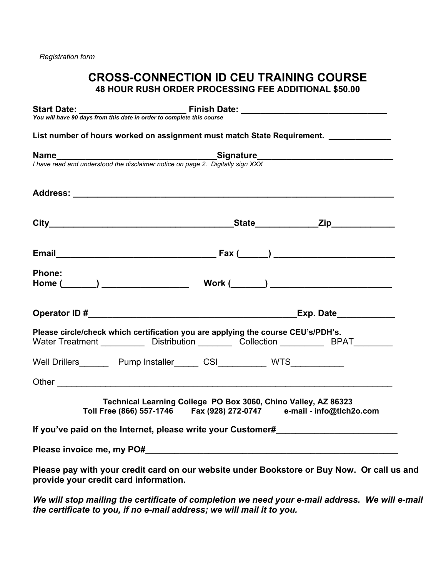# **CROSS-CONNECTION ID CEU TRAINING COURSE 48 HOUR RUSH ORDER PROCESSING FEE ADDITIONAL \$50.00**

|        | List number of hours worked on assignment must match State Requirement.                                                                                                        |  |                                                                                            |
|--------|--------------------------------------------------------------------------------------------------------------------------------------------------------------------------------|--|--------------------------------------------------------------------------------------------|
|        |                                                                                                                                                                                |  |                                                                                            |
|        | I have read and understood the disclaimer notice on page 2. Digitally sign XXX                                                                                                 |  |                                                                                            |
|        |                                                                                                                                                                                |  |                                                                                            |
|        |                                                                                                                                                                                |  |                                                                                            |
|        |                                                                                                                                                                                |  |                                                                                            |
| Phone: |                                                                                                                                                                                |  |                                                                                            |
|        |                                                                                                                                                                                |  |                                                                                            |
|        |                                                                                                                                                                                |  |                                                                                            |
|        | Please circle/check which certification you are applying the course CEU's/PDH's.<br>Water Treatment _____________ Distribution __________ Collection ___________ BPAT_________ |  |                                                                                            |
|        | Well Drillers_________ Pump Installer______ CSI___________ WTS____________                                                                                                     |  |                                                                                            |
|        |                                                                                                                                                                                |  |                                                                                            |
|        | Technical Learning College PO Box 3060, Chino Valley, AZ 86323<br>Toll Free (866) 557-1746    Fax (928) 272-0747    e-mail - info@tlch2o.com                                   |  |                                                                                            |
|        |                                                                                                                                                                                |  | If you've paid on the Internet, please write your Customer#                                |
|        |                                                                                                                                                                                |  |                                                                                            |
|        | provide your credit card information.                                                                                                                                          |  | Please pay with your credit card on our website under Bookstore or Buy Now. Or call us and |

*We will stop mailing the certificate of completion we need your e-mail address. We will e-mail the certificate to you, if no e-mail address; we will mail it to you.*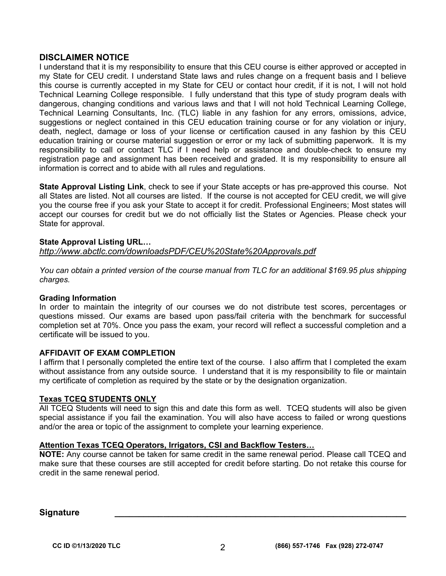### **DISCLAIMER NOTICE**

I understand that it is my responsibility to ensure that this CEU course is either approved or accepted in my State for CEU credit. I understand State laws and rules change on a frequent basis and I believe this course is currently accepted in my State for CEU or contact hour credit, if it is not, I will not hold Technical Learning College responsible. I fully understand that this type of study program deals with dangerous, changing conditions and various laws and that I will not hold Technical Learning College, Technical Learning Consultants, Inc. (TLC) liable in any fashion for any errors, omissions, advice, suggestions or neglect contained in this CEU education training course or for any violation or injury, death, neglect, damage or loss of your license or certification caused in any fashion by this CEU education training or course material suggestion or error or my lack of submitting paperwork. It is my responsibility to call or contact TLC if I need help or assistance and double-check to ensure my registration page and assignment has been received and graded. It is my responsibility to ensure all information is correct and to abide with all rules and regulations.

**State Approval Listing Link**, check to see if your State accepts or has pre-approved this course. Not all States are listed. Not all courses are listed. If the course is not accepted for CEU credit, we will give you the course free if you ask your State to accept it for credit. Professional Engineers; Most states will accept our courses for credit but we do not officially list the States or Agencies. Please check your State for approval.

#### **State Approval Listing URL…**

*<http://www.abctlc.com/downloadsPDF/CEU%20State%20Approvals.pdf>*

*You can obtain a printed version of the course manual from TLC for an additional \$169.95 plus shipping charges.* 

#### **Grading Information**

In order to maintain the integrity of our courses we do not distribute test scores, percentages or questions missed. Our exams are based upon pass/fail criteria with the benchmark for successful completion set at 70%. Once you pass the exam, your record will reflect a successful completion and a certificate will be issued to you.

#### **AFFIDAVIT OF EXAM COMPLETION**

I affirm that I personally completed the entire text of the course. I also affirm that I completed the exam without assistance from any outside source. I understand that it is my responsibility to file or maintain my certificate of completion as required by the state or by the designation organization.

#### **Texas TCEQ STUDENTS ONLY**

All TCEQ Students will need to sign this and date this form as well. TCEQ students will also be given special assistance if you fail the examination. You will also have access to failed or wrong questions and/or the area or topic of the assignment to complete your learning experience.

#### **Attention Texas TCEQ Operators, Irrigators, CSI and Backflow Testers…**

**NOTE:** Any course cannot be taken for same credit in the same renewal period. Please call TCEQ and make sure that these courses are still accepted for credit before starting. Do not retake this course for credit in the same renewal period.

**Signature \_\_\_\_\_\_\_\_\_\_\_\_\_\_\_\_\_\_\_\_\_\_\_\_\_\_\_\_\_\_\_\_\_\_\_\_\_\_\_\_\_\_\_\_\_\_\_\_\_\_\_\_\_\_\_\_\_\_\_\_**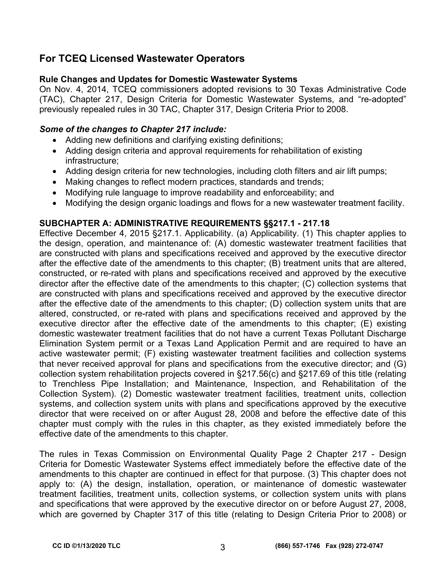# **For TCEQ Licensed Wastewater Operators**

# **Rule Changes and Updates for Domestic Wastewater Systems**

On Nov. 4, 2014, TCEQ commissioners adopted revisions to 30 Texas Administrative Code (TAC), Chapter 217, Design Criteria for Domestic Wastewater Systems, and "re-adopted" previously repealed rules in 30 TAC, Chapter 317, Design Criteria Prior to 2008.

# *Some of the changes to Chapter 217 include:*

- Adding new definitions and clarifying existing definitions;
- Adding design criteria and approval requirements for rehabilitation of existing infrastructure;
- Adding design criteria for new technologies, including cloth filters and air lift pumps;
- Making changes to reflect modern practices, standards and trends;
- Modifying rule language to improve readability and enforceability; and
- Modifying the design organic loadings and flows for a new wastewater treatment facility.

# **SUBCHAPTER A: ADMINISTRATIVE REQUIREMENTS §§217.1 - 217.18**

Effective December 4, 2015 §217.1. Applicability. (a) Applicability. (1) This chapter applies to the design, operation, and maintenance of: (A) domestic wastewater treatment facilities that are constructed with plans and specifications received and approved by the executive director after the effective date of the amendments to this chapter; (B) treatment units that are altered, constructed, or re-rated with plans and specifications received and approved by the executive director after the effective date of the amendments to this chapter; (C) collection systems that are constructed with plans and specifications received and approved by the executive director after the effective date of the amendments to this chapter; (D) collection system units that are altered, constructed, or re-rated with plans and specifications received and approved by the executive director after the effective date of the amendments to this chapter; (E) existing domestic wastewater treatment facilities that do not have a current Texas Pollutant Discharge Elimination System permit or a Texas Land Application Permit and are required to have an active wastewater permit; (F) existing wastewater treatment facilities and collection systems that never received approval for plans and specifications from the executive director; and (G) collection system rehabilitation projects covered in §217.56(c) and §217.69 of this title (relating to Trenchless Pipe Installation; and Maintenance, Inspection, and Rehabilitation of the Collection System). (2) Domestic wastewater treatment facilities, treatment units, collection systems, and collection system units with plans and specifications approved by the executive director that were received on or after August 28, 2008 and before the effective date of this chapter must comply with the rules in this chapter, as they existed immediately before the effective date of the amendments to this chapter.

The rules in Texas Commission on Environmental Quality Page 2 Chapter 217 - Design Criteria for Domestic Wastewater Systems effect immediately before the effective date of the amendments to this chapter are continued in effect for that purpose. (3) This chapter does not apply to: (A) the design, installation, operation, or maintenance of domestic wastewater treatment facilities, treatment units, collection systems, or collection system units with plans and specifications that were approved by the executive director on or before August 27, 2008, which are governed by Chapter 317 of this title (relating to Design Criteria Prior to 2008) or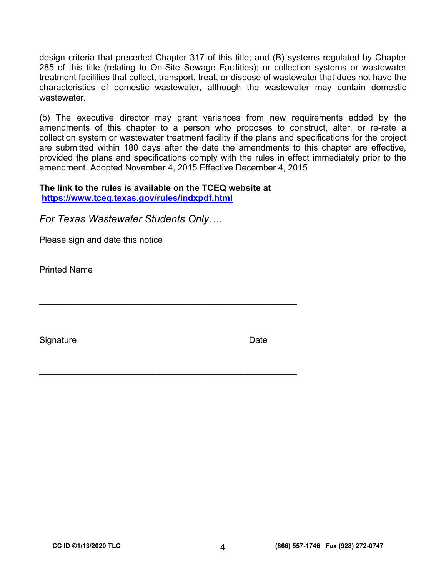design criteria that preceded Chapter 317 of this title; and (B) systems regulated by Chapter 285 of this title (relating to On-Site Sewage Facilities); or collection systems or wastewater treatment facilities that collect, transport, treat, or dispose of wastewater that does not have the characteristics of domestic wastewater, although the wastewater may contain domestic wastewater.

(b) The executive director may grant variances from new requirements added by the amendments of this chapter to a person who proposes to construct, alter, or re-rate a collection system or wastewater treatment facility if the plans and specifications for the project are submitted within 180 days after the date the amendments to this chapter are effective, provided the plans and specifications comply with the rules in effect immediately prior to the amendment. Adopted November 4, 2015 Effective December 4, 2015

**The link to the rules is available on the TCEQ website at <https://www.tceq.texas.gov/rules/indxpdf.html>**

\_\_\_\_\_\_\_\_\_\_\_\_\_\_\_\_\_\_\_\_\_\_\_\_\_\_\_\_\_\_\_\_\_\_\_\_\_\_\_\_\_\_\_\_\_\_\_\_\_\_\_\_\_

 $\mathcal{L}_\text{max}$  , and the contract of the contract of the contract of the contract of the contract of the contract of the contract of the contract of the contract of the contract of the contract of the contract of the contr

*For Texas Wastewater Students Only….* 

Please sign and date this notice

Printed Name

Signature **Date**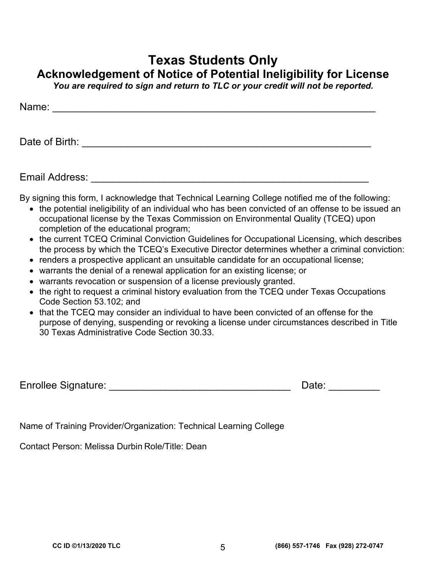# **Texas Students Only**

**Acknowledgement of Notice of Potential Ineligibility for License** 

*You are required to sign and return to TLC or your credit will not be reported.* 

| Name:          |  |  |  |
|----------------|--|--|--|
|                |  |  |  |
| Date of Birth: |  |  |  |

Email Address: \_\_\_\_\_\_\_\_\_\_\_\_\_\_\_\_\_\_\_\_\_\_\_\_\_\_\_\_\_\_\_\_\_\_\_\_\_\_\_\_\_\_\_\_\_\_\_\_\_

By signing this form, I acknowledge that Technical Learning College notified me of the following:

- the potential ineligibility of an individual who has been convicted of an offense to be issued an occupational license by the Texas Commission on Environmental Quality (TCEQ) upon completion of the educational program;
- the current TCEQ Criminal Conviction Guidelines for Occupational Licensing, which describes the process by which the TCEQ's Executive Director determines whether a criminal conviction:
- renders a prospective applicant an unsuitable candidate for an occupational license;
- warrants the denial of a renewal application for an existing license; or
- warrants revocation or suspension of a license previously granted.
- the right to request a criminal history evaluation from the TCEQ under Texas Occupations Code Section 53.102; and
- that the TCEQ may consider an individual to have been convicted of an offense for the purpose of denying, suspending or revoking a license under circumstances described in Title 30 Texas Administrative Code Section 30.33.

Enrollee Signature: \_\_\_\_\_\_\_\_\_\_\_\_\_\_\_\_\_\_\_\_\_\_\_\_\_\_\_\_\_\_\_\_ Date: \_\_\_\_\_\_\_\_\_

Name of Training Provider/Organization: Technical Learning College

Contact Person: Melissa Durbin Role/Title: Dean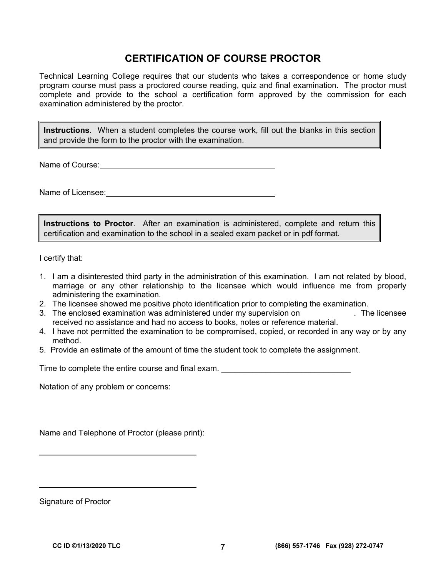# **CERTIFICATION OF COURSE PROCTOR**

Technical Learning College requires that our students who takes a correspondence or home study program course must pass a proctored course reading, quiz and final examination. The proctor must complete and provide to the school a certification form approved by the commission for each examination administered by the proctor.

**Instructions**. When a student completes the course work, fill out the blanks in this section and provide the form to the proctor with the examination.

Name of Course: **Name of Course:** 

Name of Licensee: **Name of Licensee:** 

**Instructions to Proctor**. After an examination is administered, complete and return this certification and examination to the school in a sealed exam packet or in pdf format.

I certify that:

- 1. I am a disinterested third party in the administration of this examination. I am not related by blood, marriage or any other relationship to the licensee which would influence me from properly administering the examination.
- 2. The licensee showed me positive photo identification prior to completing the examination.
- 3. The enclosed examination was administered under my supervision on \_\_\_\_\_\_\_\_\_\_\_\_. The licensee received no assistance and had no access to books, notes or reference material.
- 4. I have not permitted the examination to be compromised, copied, or recorded in any way or by any method.
- 5. Provide an estimate of the amount of time the student took to complete the assignment.

Time to complete the entire course and final exam.

Notation of any problem or concerns:

Name and Telephone of Proctor (please print):

Signature of Proctor

 $\overline{a}$ 

 $\overline{a}$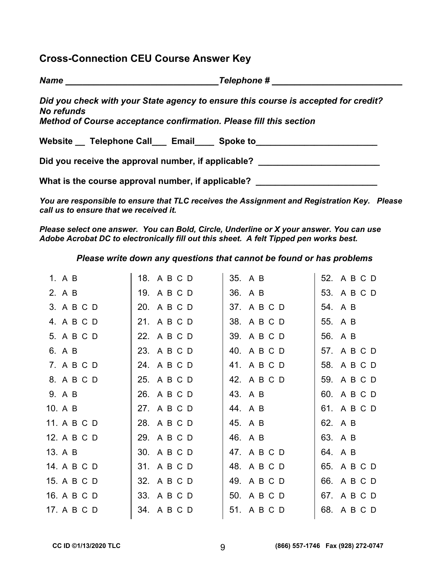# **Cross-Connection CEU Course Answer Key**

| <b>Name</b>                                                                                                                                                            | <b>Telephone #</b> |
|------------------------------------------------------------------------------------------------------------------------------------------------------------------------|--------------------|
| Did you check with your State agency to ensure this course is accepted for credit?<br>No refunds<br>Method of Course acceptance confirmation. Please fill this section |                    |
| Website Telephone Call Email Spoke to                                                                                                                                  |                    |
| Did you receive the approval number, if applicable?                                                                                                                    |                    |

What is the course approval number, if applicable? \_\_\_\_\_\_\_\_\_\_\_\_\_\_\_\_\_\_\_\_\_\_\_\_\_\_\_\_\_

*You are responsible to ensure that TLC receives the Assignment and Registration Key. Please call us to ensure that we received it.* 

*Please select one answer. You can Bold, Circle, Underline or X your answer. You can use Adobe Acrobat DC to electronically fill out this sheet. A felt Tipped pen works best.* 

*Please write down any questions that cannot be found or has problems* 

| 1. A B      | 18. A B C D | 35. A B     | 52. A B C D |
|-------------|-------------|-------------|-------------|
| 2. A B      | 19. A B C D | 36. A B     | 53. A B C D |
| 3. A B C D  | 20. A B C D | 37. A B C D | 54. A B     |
| 4. A B C D  | 21. A B C D | 38. A B C D | 55. A B     |
| 5. A B C D  | 22. A B C D | 39. A B C D | 56. A B     |
| 6. A B      | 23. A B C D | 40. A B C D | 57. A B C D |
| 7. A B C D  | 24. A B C D | 41. A B C D | 58. A B C D |
| 8. A B C D  | 25. A B C D | 42. A B C D | 59. A B C D |
| 9. A B      | 26. A B C D | 43. A B     | 60. A B C D |
| 10. A B     | 27. A B C D | 44. A B     | 61. A B C D |
| 11. A B C D | 28. A B C D | 45. A B     | 62. A B     |
| 12. A B C D | 29. A B C D | 46. A B     | 63. A B     |
| 13. A B     | 30. A B C D | 47. A B C D | 64. A B     |
| 14. A B C D | 31. A B C D | 48. A B C D | 65. A B C D |
| 15. A B C D | 32. A B C D | 49. A B C D | 66. A B C D |
| 16. A B C D | 33. A B C D | 50. A B C D | 67. A B C D |
| 17. A B C D | 34. A B C D | 51. A B C D | 68. A B C D |
|             |             |             |             |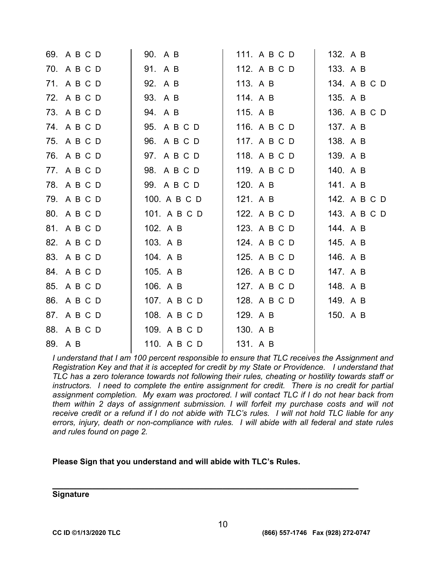| 69. A B C D | 90. A B      | 111. A B C D | 132. A B     |
|-------------|--------------|--------------|--------------|
| 70. A B C D | 91. A B      | 112. A B C D | 133. A B     |
| 71. A B C D | 92. A B      | 113. A B     | 134. A B C D |
| 72. A B C D | 93. A B      | 114. A B     | 135. A B     |
| 73. A B C D | 94. A B      | 115. A B     | 136. A B C D |
| 74. A B C D | 95. A B C D  | 116. A B C D | 137. A B     |
| 75. A B C D | 96. A B C D  | 117. A B C D | 138. A B     |
| 76. A B C D | 97. A B C D  | 118. A B C D | 139. A B     |
| 77. A B C D | 98. A B C D  | 119. A B C D | 140. A B     |
| 78. A B C D | 99. A B C D  | 120. A B     | 141. A B     |
| 79. A B C D | 100. A B C D | 121. A B     | 142. A B C D |
| 80. A B C D | 101. A B C D | 122. A B C D | 143. A B C D |
| 81. A B C D | 102. A B     | 123. A B C D | 144. A B     |
| 82. A B C D | 103. A B     | 124. A B C D | 145. A B     |
| 83. A B C D | 104. A B     | 125. A B C D | 146. A B     |
| 84. A B C D | 105. A B     | 126. A B C D | 147. A B     |
| 85. A B C D | 106. A B     | 127. A B C D | 148. A B     |
| 86. A B C D | 107. A B C D | 128. A B C D | 149. A B     |
| 87. A B C D | 108. A B C D | 129. A B     | 150. A B     |
| 88. A B C D | 109. A B C D | 130. A B     |              |
| 89. A B     | 110. A B C D | 131. A B     |              |

*I understand that I am 100 percent responsible to ensure that TLC receives the Assignment and Registration Key and that it is accepted for credit by my State or Providence. I understand that TLC has a zero tolerance towards not following their rules, cheating or hostility towards staff or instructors. I need to complete the entire assignment for credit. There is no credit for partial assignment completion. My exam was proctored. I will contact TLC if I do not hear back from them within 2 days of assignment submission. I will forfeit my purchase costs and will not receive credit or a refund if I do not abide with TLC's rules. I will not hold TLC liable for any errors, injury, death or non-compliance with rules. I will abide with all federal and state rules and rules found on page 2.* 

#### **Please Sign that you understand and will abide with TLC's Rules.**

# **\_\_\_\_\_\_\_\_\_\_\_\_\_\_\_\_\_\_\_\_\_\_\_\_\_\_\_\_\_\_\_\_\_\_\_\_\_\_\_\_\_\_\_\_\_\_\_\_\_\_\_\_\_\_ Signature**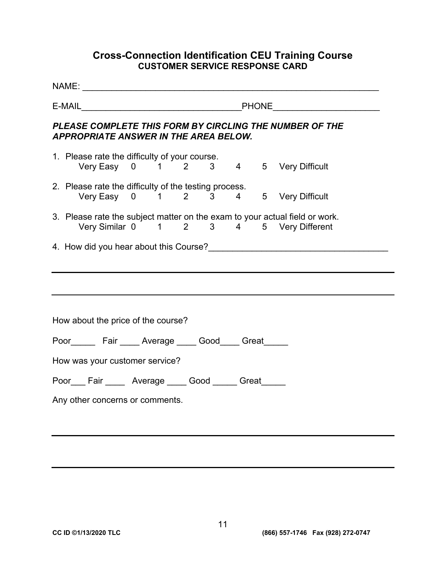# **Cross-Connection Identification CEU Training Course CUSTOMER SERVICE RESPONSE CARD**

| PLEASE COMPLETE THIS FORM BY CIRCLING THE NUMBER OF THE<br><b>APPROPRIATE ANSWER IN THE AREA BELOW.</b>                |  |  |  |  |
|------------------------------------------------------------------------------------------------------------------------|--|--|--|--|
| 1. Please rate the difficulty of your course.<br>Very Easy 0 1 2 3 4 5 Very Difficult                                  |  |  |  |  |
| 2. Please rate the difficulty of the testing process.<br>Very Easy 0 1 2 3 4 5 Very Difficult                          |  |  |  |  |
| 3. Please rate the subject matter on the exam to your actual field or work.<br>Very Similar 0 1 2 3 4 5 Very Different |  |  |  |  |
|                                                                                                                        |  |  |  |  |
|                                                                                                                        |  |  |  |  |
| How about the price of the course?                                                                                     |  |  |  |  |
| Poor Fair Average Good Great                                                                                           |  |  |  |  |
| How was your customer service?                                                                                         |  |  |  |  |
| Poor___ Fair _____ Average ____ Good _____ Great_____                                                                  |  |  |  |  |
| Any other concerns or comments.                                                                                        |  |  |  |  |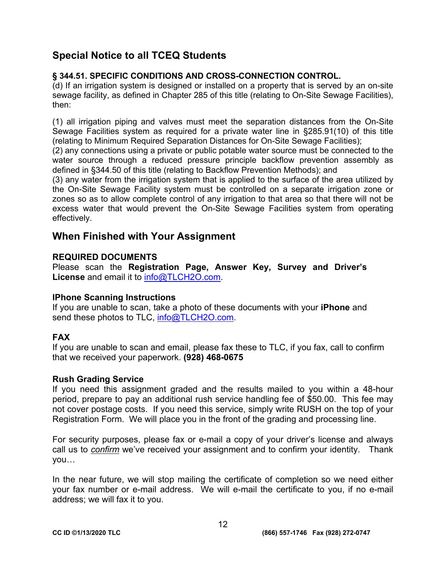# **Special Notice to all TCEQ Students**

## **§ 344.51. SPECIFIC CONDITIONS AND CROSS-CONNECTION CONTROL.**

(d) If an irrigation system is designed or installed on a property that is served by an on-site sewage facility, as defined in Chapter 285 of this title (relating to On-Site Sewage Facilities), then:

(1) all irrigation piping and valves must meet the separation distances from the On-Site Sewage Facilities system as required for a private water line in §285.91(10) of this title (relating to Minimum Required Separation Distances for On-Site Sewage Facilities);

(2) any connections using a private or public potable water source must be connected to the water source through a reduced pressure principle backflow prevention assembly as defined in §344.50 of this title (relating to Backflow Prevention Methods); and

(3) any water from the irrigation system that is applied to the surface of the area utilized by the On-Site Sewage Facility system must be controlled on a separate irrigation zone or zones so as to allow complete control of any irrigation to that area so that there will not be excess water that would prevent the On-Site Sewage Facilities system from operating effectively.

# **When Finished with Your Assignment**

# **REQUIRED DOCUMENTS**

Please scan the **Registration Page, Answer Key, Survey and Driver's License** and email it to [info@TLCH2O.com.](mailto:info@TLCH2O.com) 

## **IPhone Scanning Instructions**

If you are unable to scan, take a photo of these documents with your **iPhone** and send these photos to TLC, info@TLCH2O.com.

# **FAX**

If you are unable to scan and email, please fax these to TLC, if you fax, call to confirm that we received your paperwork. **(928) 468-0675** 

## **Rush Grading Service**

If you need this assignment graded and the results mailed to you within a 48-hour period, prepare to pay an additional rush service handling fee of \$50.00. This fee may not cover postage costs. If you need this service, simply write RUSH on the top of your Registration Form. We will place you in the front of the grading and processing line.

For security purposes, please fax or e-mail a copy of your driver's license and always call us to *confirm* we've received your assignment and to confirm your identity. Thank you…

In the near future, we will stop mailing the certificate of completion so we need either your fax number or e-mail address. We will e-mail the certificate to you, if no e-mail address; we will fax it to you.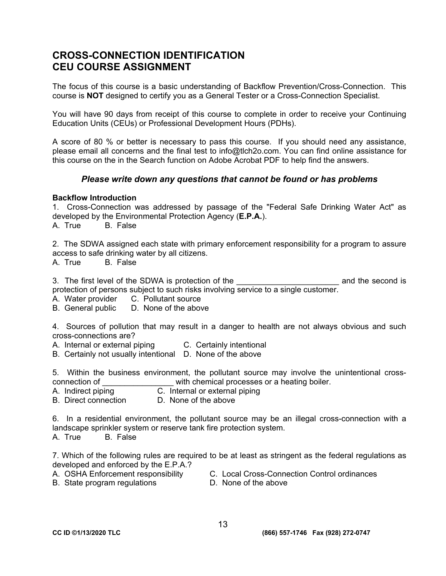# **CROSS-CONNECTION IDENTIFICATION CEU COURSE ASSIGNMENT**

The focus of this course is a basic understanding of Backflow Prevention/Cross-Connection. This course is **NOT** designed to certify you as a General Tester or a Cross-Connection Specialist.

You will have 90 days from receipt of this course to complete in order to receive your Continuing Education Units (CEUs) or Professional Development Hours (PDHs).

A score of 80 % or better is necessary to pass this course. If you should need any assistance, please email all concerns and the final test to [info@tlch2o.com. Y](mailto:info@tlch2o.com)ou can find online assistance for this course on the in the Search function on Adobe Acrobat PDF to help find the answers.

#### *Please write down any questions that cannot be found or has problems*

#### **Backflow Introduction**

1. Cross-Connection was addressed by passage of the "Federal Safe Drinking Water Act" as developed by the Environmental Protection Agency (**E.P.A.**). A. True B. False

2. The SDWA assigned each state with primary enforcement responsibility for a program to assure access to safe drinking water by all citizens.

A. True B. False

3. The first level of the SDWA is protection of the **EXAC is and the second is** protection of persons subject to such risks involving service to a single customer.

A. Water provider C. Pollutant source<br>B. General public D. None of the above

B. General public

4. Sources of pollution that may result in a danger to health are not always obvious and such cross-connections are?

- A. Internal or external piping C. Certainly intentional
- B. Certainly not usually intentional D. None of the above

5. Within the business environment, the pollutant source may involve the unintentional crossconnection of  $\qquad \qquad$  with chemical processes or a heating boiler.

- A. Indirect piping C. Internal or external piping
- B. Direct connection D. None of the above

6. In a residential environment, the pollutant source may be an illegal cross-connection with a landscape sprinkler system or reserve tank fire protection system.

A. True B. False

7. Which of the following rules are required to be at least as stringent as the federal regulations as developed and enforced by the E.P.A.?

- 
- A. OSHA Enforcement responsibility C. Local Cross-Connection Control ordinances
- B. State program regulations D. None of the above
-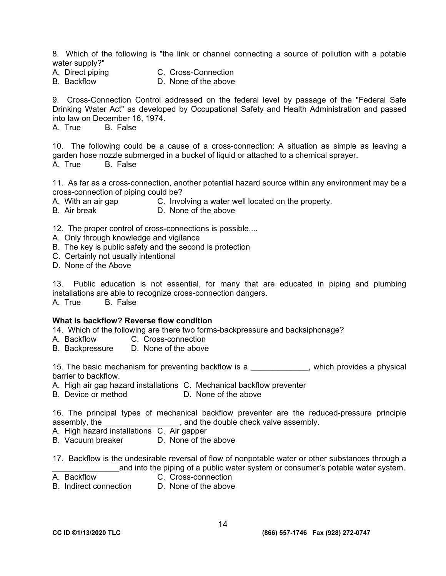8. Which of the following is "the link or channel connecting a source of pollution with a potable

- water supply?"<br>A. Direct piping
	- C. Cross-Connection
- B. Backflow D. None of the above

9. Cross-Connection Control addressed on the federal level by passage of the "Federal Safe Drinking Water Act" as developed by Occupational Safety and Health Administration and passed into law on December 16, 1974.

A. True B. False

10. The following could be a cause of a cross-connection: A situation as simple as leaving a garden hose nozzle submerged in a bucket of liquid or attached to a chemical sprayer. A. True B. False

11. As far as a cross-connection, another potential hazard source within any environment may be a cross-connection of piping could be?

A. With an air gap **C.** Involving a water well located on the property.

B. Air break D. None of the above

12. The proper control of cross-connections is possible....

- A. Only through knowledge and vigilance
- B. The key is public safety and the second is protection
- C. Certainly not usually intentional
- D. None of the Above

13. Public education is not essential, for many that are educated in piping and plumbing installations are able to recognize cross-connection dangers. A. True B. False

#### **What is backflow? Reverse flow condition**

14. Which of the following are there two forms-backpressure and backsiphonage?

- A. Backflow C. Cross-connection
- B. Backpressure D. None of the above

15. The basic mechanism for preventing backflow is a \_\_\_\_\_\_\_\_\_\_\_\_\_, which provides a physical barrier to backflow.

A. High air gap hazard installations C. Mechanical backflow preventer

B. Device or method D. None of the above

16. The principal types of mechanical backflow preventer are the reduced-pressure principle assembly, the  $\qquad \qquad$ , and the double check valve assembly.

A. High hazard installations C. Air gapper

B. Vacuum breaker D. None of the above

17. Backflow is the undesirable reversal of flow of nonpotable water or other substances through a and into the piping of a public water system or consumer's potable water system.

- 
- A. Backflow C. Cross-connection
- B. Indirect connection D. None of the above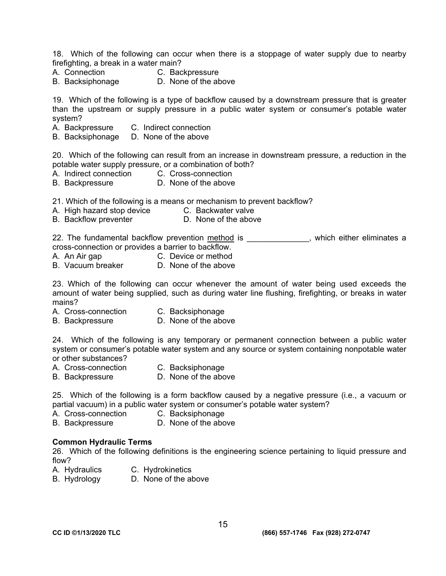18. Which of the following can occur when there is a stoppage of water supply due to nearby firefighting, a break in a water main?

- A. Connection C. Backpressure
- B. Backsiphonage D. None of the above
- 

19. Which of the following is a type of backflow caused by a downstream pressure that is greater than the upstream or supply pressure in a public water system or consumer's potable water system?

- A. Backpressure C. Indirect connection
- B. Backsiphonage D. None of the above

20. Which of the following can result from an increase in downstream pressure, a reduction in the potable water supply pressure, or a combination of both?

- A. Indirect connection C. Cross-connection
- B. Backpressure D. None of the above

21. Which of the following is a means or mechanism to prevent backflow?

- A. High hazard stop device C. Backwater valve
- B. Backflow preventer **D.** None of the above

22. The fundamental backflow prevention method is example the set of the eliminates a cross-connection or provides a barrier to backflow.

- A. An Air gap C. Device or method
- B. Vacuum breaker D. None of the above

23. Which of the following can occur whenever the amount of water being used exceeds the amount of water being supplied, such as during water line flushing, firefighting, or breaks in water mains?

- A. Cross-connection C. Backsiphonage
- B. Backpressure D. None of the above

24. Which of the following is any temporary or permanent connection between a public water system or consumer's potable water system and any source or system containing nonpotable water or other substances?

- A. Cross-connection C. Backsiphonage
- 
- B. Backpressure D. None of the above

25. Which of the following is a form backflow caused by a negative pressure (i.e., a vacuum or partial vacuum) in a public water system or consumer's potable water system?

- A. Cross-connection C. Backsiphonage
- B. Backpressure D. None of the above

#### **Common Hydraulic Terms**

26. Which of the following definitions is the engineering science pertaining to liquid pressure and flow?

- A. Hydraulics C. Hydrokinetics
- B. Hydrology D. None of the above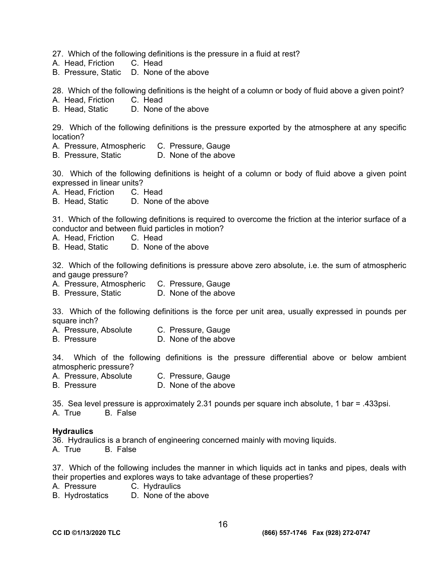27. Which of the following definitions is the pressure in a fluid at rest?

- A. Head, Friction C. Head
- B. Pressure, Static D. None of the above

28. Which of the following definitions is the height of a column or body of fluid above a given point?

- A. Head, Friction C. Head
- B. Head, Static D. None of the above

29. Which of the following definitions is the pressure exported by the atmosphere at any specific location?

- A. Pressure, Atmospheric C. Pressure, Gauge
- B. Pressure, Static D. None of the above

30. Which of the following definitions is height of a column or body of fluid above a given point expressed in linear units?

- A. Head, Friction C. Head
- B. Head, Static D. None of the above

31. Which of the following definitions is required to overcome the friction at the interior surface of a conductor and between fluid particles in motion?

- A. Head, Friction C. Head
- B. Head, Static D. None of the above

32. Which of the following definitions is pressure above zero absolute, i.e. the sum of atmospheric and gauge pressure?

- A. Pressure, Atmospheric C. Pressure, Gauge
- B. Pressure, Static D. None of the above

33. Which of the following definitions is the force per unit area, usually expressed in pounds per square inch?

- A. Pressure, Absolute C. Pressure, Gauge
- B. Pressure D. None of the above

34. Which of the following definitions is the pressure differential above or below ambient atmospheric pressure?

- A. Pressure, Absolute C. Pressure, Gauge
- B. Pressure D. None of the above

35. Sea level pressure is approximately 2.31 pounds per square inch absolute, 1 bar = .433psi. A. True B. False

#### **Hydraulics**

36. Hydraulics is a branch of engineering concerned mainly with moving liquids.

A. True B. False

37. Which of the following includes the manner in which liquids act in tanks and pipes, deals with their properties and explores ways to take advantage of these properties?

- A. Pressure C. Hydraulics
- B. Hydrostatics D. None of the above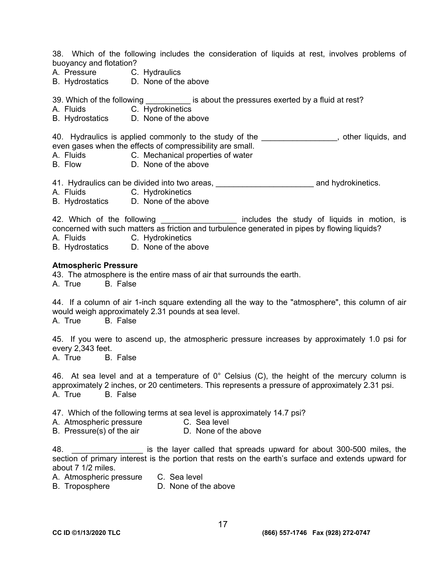38. Which of the following includes the consideration of liquids at rest, involves problems of buoyancy and flotation?

- A. Pressure C. Hydraulics
- B. Hydrostatics D. None of the above

39. Which of the following is about the pressures exerted by a fluid at rest?

- A. Fluids C. Hydrokinetics
- B. Hydrostatics D. None of the above

40. Hydraulics is applied commonly to the study of the the the the study of the study of the study of the study of the study of the study of the study of the study of the study of the study of the study of the study of the even gases when the effects of compressibility are small.

- A. Fluids C. Mechanical properties of water
- B. Flow D. None of the above

41. Hydraulics can be divided into two areas, <u>entitled and example and hydrokinetics</u>.

- A. Fluids C. Hydrokinetics
- B. Hydrostatics D. None of the above

42. Which of the following \_\_\_\_\_\_\_\_\_\_\_\_\_\_\_\_\_\_\_ includes the study of liquids in motion, is concerned with such matters as friction and turbulence generated in pipes by flowing liquids?

A. Fluids C. Hydrokinetics

B. Hydrostatics D. None of the above

#### **Atmospheric Pressure**

43. The atmosphere is the entire mass of air that surrounds the earth.

A. True B. False

44. If a column of air 1-inch square extending all the way to the "atmosphere", this column of air would weigh approximately 2.31 pounds at sea level. A. True B. False

45. If you were to ascend up, the atmospheric pressure increases by approximately 1.0 psi for every 2,343 feet.

A. True B. False

46. At sea level and at a temperature of  $0^{\circ}$  Celsius (C), the height of the mercury column is approximately 2 inches, or 20 centimeters. This represents a pressure of approximately 2.31 psi. A. True B. False

47. Which of the following terms at sea level is approximately 14.7 psi?

A. Atmospheric pressure C. Sea level

B. Pressure(s) of the air **D.** None of the above

48. \_\_\_\_\_\_\_\_\_\_\_\_\_\_\_\_ is the layer called that spreads upward for about 300-500 miles, the section of primary interest is the portion that rests on the earth's surface and extends upward for about 7 1/2 miles.

A. Atmospheric pressure C. Sea level

B. Troposphere D. None of the above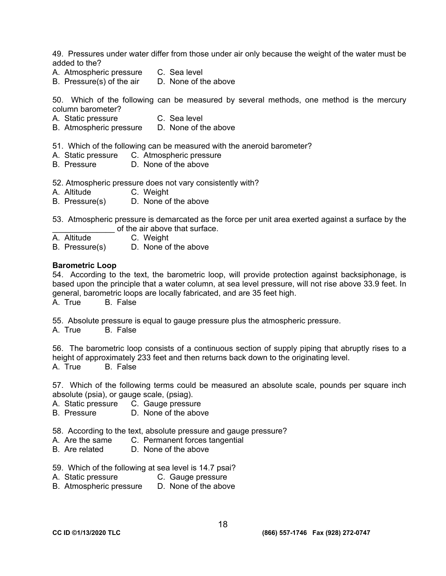49. Pressures under water differ from those under air only because the weight of the water must be added to the?

- A. Atmospheric pressure C. Sea level
- B. Pressure(s) of the air D. None of the above

50. Which of the following can be measured by several methods, one method is the mercury column barometer?

- A. Static pressure C. Sea level
- B. Atmospheric pressure D. None of the above

51. Which of the following can be measured with the aneroid barometer?

- A. Static pressure C. Atmospheric pressure
- B. Pressure D. None of the above

52. Atmospheric pressure does not vary consistently with?

- A. Altitude C. Weight
- B. Pressure(s) D. None of the above

53. Atmospheric pressure is demarcated as the force per unit area exerted against a surface by the  $\frac{1}{\mathsf{A}}$  Altitude  $\frac{1}{\mathsf{A}}$  C Weight

- C. Weight
- B. Pressure(s) D. None of the above

#### **Barometric Loop**

54. According to the text, the barometric loop, will provide protection against backsiphonage, is based upon the principle that a water column, at sea level pressure, will not rise above 33.9 feet. In general, barometric loops are locally fabricated, and are 35 feet high. A. True B. False

55. Absolute pressure is equal to gauge pressure plus the atmospheric pressure.

A. True B. False

56. The barometric loop consists of a continuous section of supply piping that abruptly rises to a height of approximately 233 feet and then returns back down to the originating level. A. True B. False

57. Which of the following terms could be measured an absolute scale, pounds per square inch absolute (psia), or gauge scale, (psiag).

A. Static pressure C. Gauge pressure

B. Pressure D. None of the above

58. According to the text, absolute pressure and gauge pressure?

- A. Are the same C. Permanent forces tangential
- B. Are related D. None of the above
- 59. Which of the following at sea level is 14.7 psai?
- A. Static pressure C. Gauge pressure
- B. Atmospheric pressure D. None of the above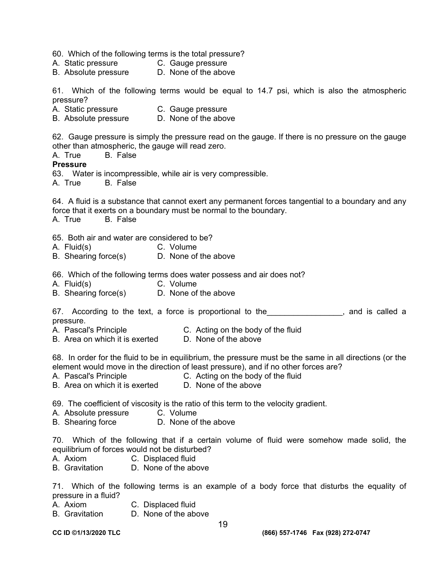60. Which of the following terms is the total pressure?

- A. Static pressure C. Gauge pressure
- B. Absolute pressure D. None of the above

61. Which of the following terms would be equal to 14.7 psi, which is also the atmospheric pressure?

- A. Static pressure C. Gauge pressure<br>B. Absolute pressure D. None of the above
- B. Absolute pressure

62. Gauge pressure is simply the pressure read on the gauge. If there is no pressure on the gauge other than atmospheric, the gauge will read zero.

A. True B. False

#### **Pressure**

63. Water is incompressible, while air is very compressible.

A. True B. False

64. A fluid is a substance that cannot exert any permanent forces tangential to a boundary and any force that it exerts on a boundary must be normal to the boundary.

A. True B. False

65. Both air and water are considered to be?

- A. Fluid(s) C. Volume<br>
B. Shearing force(s) D. None of the above
- $B.$  Shearing force $(s)$

66. Which of the following terms does water possess and air does not?

- A. Fluid(s) C. Volume
- B. Shearing force(s) D. None of the above

67. According to the text, a force is proportional to the the the stand is called a pressure.

- A. Pascal's Principle C. Acting on the body of the fluid
- B. Area on which it is exerted D. None of the above

68. In order for the fluid to be in equilibrium, the pressure must be the same in all directions (or the element would move in the direction of least pressure), and if no other forces are?

- A. Pascal's Principle **C.** Acting on the body of the fluid<br>B. Area on which it is exerted **D. None of the above**
- B. Area on which it is exerted

69. The coefficient of viscosity is the ratio of this term to the velocity gradient.

- A. Absolute pressure C. Volume
- B. Shearing force D. None of the above

70. Which of the following that if a certain volume of fluid were somehow made solid, the equilibrium of forces would not be disturbed?

- A. Axiom C. Displaced fluid
- B. Gravitation D. None of the above

71. Which of the following terms is an example of a body force that disturbs the equality of pressure in a fluid?

- A. Axiom C. Displaced fluid
- B. Gravitation D. None of the above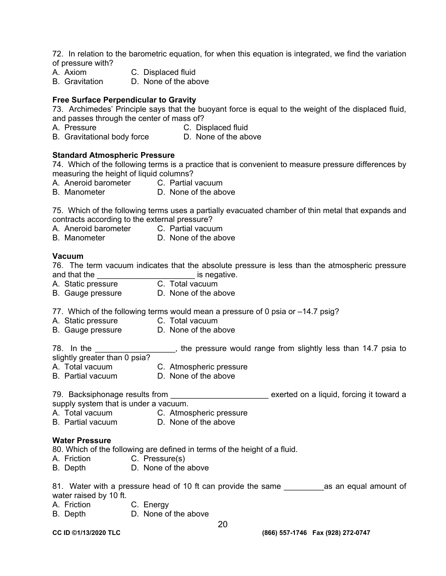72. In relation to the barometric equation, for when this equation is integrated, we find the variation of pressure with?

- A. Axiom C. Displaced fluid
- B. Gravitation D. None of the above

#### **Free Surface Perpendicular to Gravity**

73. Archimedes' Principle says that the buoyant force is equal to the weight of the displaced fluid, and passes through the center of mass of?

- A. Pressure C. Displaced fluid
- B. Gravitational body force D. None of the above

#### **Standard Atmospheric Pressure**

74. Which of the following terms is a practice that is convenient to measure pressure differences by measuring the height of liquid columns?

- A. Aneroid barometer C. Partial vacuum
- B. Manometer D. None of the above

75. Which of the following terms uses a partially evacuated chamber of thin metal that expands and contracts according to the external pressure?

A. Aneroid barometer C. Partial vacuum

B. Manometer D. None of the above

#### **Vacuum**

76. The term vacuum indicates that the absolute pressure is less than the atmospheric pressure and that the **and that the set of the set of the set of the set of the set of the set of the set of the set of the set of the set of the set of the set of the set of the set of the set of the set of the set of the set of t** 

- A. Static pressure **C. Total vacuum**
- B. Gauge pressure D. None of the above

77. Which of the following terms would mean a pressure of 0 psia or –14.7 psig?

- A. Static pressure C. Total vacuum
- B. Gauge pressure D. None of the above

78. In the **The Landsleet Communist Communist Communist** repressure would range from slightly less than 14.7 psia to slightly greater than 0 psia?

- A. Total vacuum C. Atmospheric pressure
- B. Partial vacuum D. None of the above

79. Backsiphonage results from \_\_\_\_\_\_\_\_\_\_\_\_\_\_\_\_\_\_\_\_\_\_\_\_\_\_ exerted on a liquid, forcing it toward a supply system that is under a vacuum.

- A. Total vacuum C. Atmospheric pressure
- B. Partial vacuum D. None of the above

#### **Water Pressure**

80. Which of the following are defined in terms of the height of a fluid.

- A. Friction C. Pressure(s)
- B. Depth D. None of the above

81. Water with a pressure head of 10 ft can provide the same \_\_\_\_\_\_\_\_\_\_\_\_\_\_\_\_\_\_\_\_ as an equal amount of water raised by 10 ft.

- A. Friction C. Energy
- B. Depth D. None of the above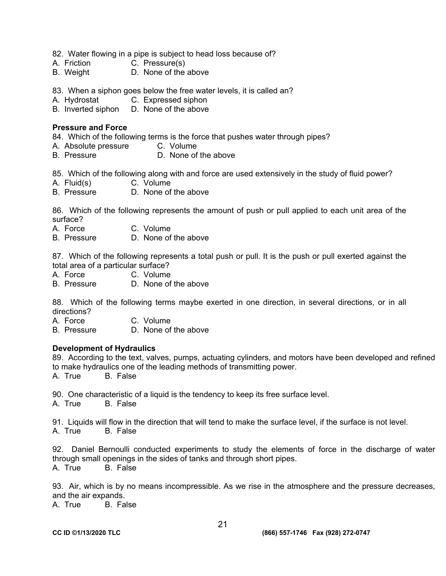- 82. Water flowing in a pipe is subject to head loss because of?
- A. Friction C. Pressure(s)
- B. Weight D. None of the above
- 83. When a siphon goes below the free water levels, it is called an?
- A. Hydrostat C. Expressed siphon
- B. Inverted siphon D. None of the above

#### **Pressure and Force**

84. Which of the following terms is the force that pushes water through pipes?

- A. Absolute pressure C. Volume
- B. Pressure D. None of the above

85. Which of the following along with and force are used extensively in the study of fluid power?

- A. Fluid(s) C. Volume
- B. Pressure D. None of the above

86. Which of the following represents the amount of push or pull applied to each unit area of the surface?

- A. Force C. Volume<br>B. Pressure D. None of
- D. None of the above

87. Which of the following represents a total push or pull. It is the push or pull exerted against the total area of a particular surface?

- A. Force C. Volume
- B. Pressure D. None of the above

88. Which of the following terms maybe exerted in one direction, in several directions, or in all directions?

- A. Force C. Volume
- B. Pressure D. None of the above

#### **Development of Hydraulics**

89. According to the text, valves, pumps, actuating cylinders, and motors have been developed and refined to make hydraulics one of the leading methods of transmitting power.

A. True B. False

90. One characteristic of a liquid is the tendency to keep its free surface level.

A. True B. False

91. Liquids will flow in the direction that will tend to make the surface level, if the surface is not level.

A. True B. False

92. Daniel Bernoulli conducted experiments to study the elements of force in the discharge of water through small openings in the sides of tanks and through short pipes. A. True B. False

93. Air, which is by no means incompressible. As we rise in the atmosphere and the pressure decreases, and the air expands.<br>A. True B. Fa

B. False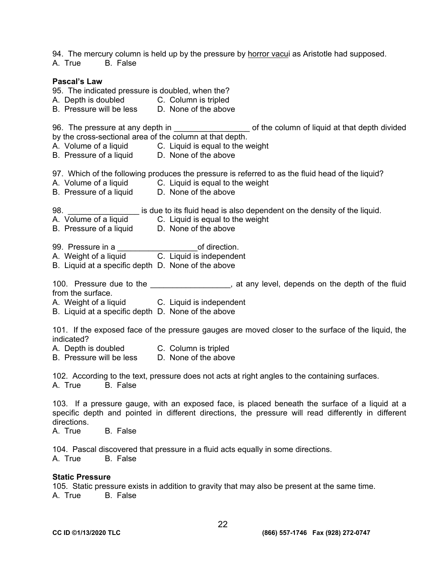94. The mercury column is held up by the pressure by horror vacui as Aristotle had supposed.

A. True B. False

#### **Pascal's Law**

95. The indicated pressure is doubled, when the?

- A. Depth is doubled C. Column is tripled
- B. Pressure will be less D. None of the above

96. The pressure at any depth in \_\_\_\_\_\_\_\_\_\_\_\_\_\_\_\_\_\_\_\_\_\_ of the column of liquid at that depth divided by the cross-sectional area of the column at that depth.

- A. Volume of a liquid C. Liquid is equal to the weight
- B. Pressure of a liquid D. None of the above

97. Which of the following produces the pressure is referred to as the fluid head of the liquid?

- A. Volume of a liquid C. Liquid is equal to the weight
- B. Pressure of a liquid D. None of the above
- 98. **Example 1** is due to its fluid head is also dependent on the density of the liquid.
- A. Volume of a liquid C. Liquid is equal to the weight
- B. Pressure of a liquid D. None of the above
- 99. Pressure in a \_\_\_\_\_\_\_\_\_\_\_\_\_\_\_\_\_\_of direction.
- A. Weight of a liquid
- B. Liquid at a specific depth D. None of the above

100. Pressure due to the \_\_\_\_\_\_\_\_\_\_\_\_\_\_\_\_\_, at any level, depends on the depth of the fluid from the surface.

- A. Weight of a liquid C. Liquid is independent
- B. Liquid at a specific depth D. None of the above

101. If the exposed face of the pressure gauges are moved closer to the surface of the liquid, the indicated?

- A. Depth is doubled C. Column is tripled
- B. Pressure will be less D. None of the above

102. According to the text, pressure does not acts at right angles to the containing surfaces.<br>A. True B. False A. True

103. If a pressure gauge, with an exposed face, is placed beneath the surface of a liquid at a specific depth and pointed in different directions, the pressure will read differently in different directions.

A. True B. False

104. Pascal discovered that pressure in a fluid acts equally in some directions. A. True B. False

#### **Static Pressure**

105. Static pressure exists in addition to gravity that may also be present at the same time. A. True B. False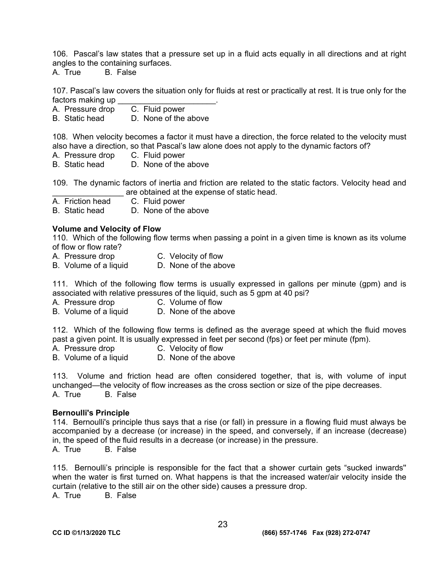106. Pascal's law states that a pressure set up in a fluid acts equally in all directions and at right angles to the containing surfaces.

A. True B. False

107. Pascal's law covers the situation only for fluids at rest or practically at rest. It is true only for the factors making up \_\_\_\_\_\_\_\_\_\_\_\_\_\_\_\_\_\_\_\_\_\_.

A. Pressure drop

B. Static head D. None of the above

108. When velocity becomes a factor it must have a direction, the force related to the velocity must also have a direction, so that Pascal's law alone does not apply to the dynamic factors of?

- A. Pressure drop C. Fluid power
- B. Static head D. None of the above

109. The dynamic factors of inertia and friction are related to the static factors. Velocity head and are obtained at the expense of static head.

A. Friction head C. Fluid power

B. Static head D. None of the above

#### **Volume and Velocity of Flow**

110. Which of the following flow terms when passing a point in a given time is known as its volume of flow or flow rate?

- A. Pressure drop C. Velocity of flow
- B. Volume of a liquid D. None of the above

111. Which of the following flow terms is usually expressed in gallons per minute (gpm) and is associated with relative pressures of the liquid, such as 5 gpm at 40 psi?

- A. Pressure drop C. Volume of flow
- B. Volume of a liquid D. None of the above

112. Which of the following flow terms is defined as the average speed at which the fluid moves past a given point. It is usually expressed in feet per second (fps) or feet per minute (fpm).

- A. Pressure drop C. Velocity of flow
- B. Volume of a liquid D. None of the above

113. Volume and friction head are often considered together, that is, with volume of input unchanged—the velocity of flow increases as the cross section or size of the pipe decreases. A. True B. False

#### **Bernoulli's Principle**

114. Bernoulli's principle thus says that a rise (or fall) in pressure in a flowing fluid must always be accompanied by a decrease (or increase) in the speed, and conversely, if an increase (decrease) in, the speed of the fluid results in a decrease (or increase) in the pressure.

A. True B. False

115. Bernoulli's principle is responsible for the fact that a shower curtain gets "sucked inwards'' when the water is first turned on. What happens is that the increased water/air velocity inside the curtain (relative to the still air on the other side) causes a pressure drop.

A. True B. False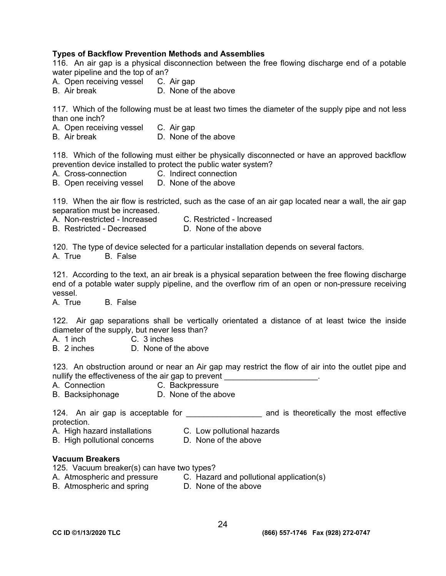#### **Types of Backflow Prevention Methods and Assemblies**

116. An air gap is a physical disconnection between the free flowing discharge end of a potable water pipeline and the top of an?

A. Open receiving vessel C. Air gap

B. Air break D. None of the above

117. Which of the following must be at least two times the diameter of the supply pipe and not less than one inch?

- A. Open receiving vessel C. Air gap
- B. Air break D. None of the above

118. Which of the following must either be physically disconnected or have an approved backflow prevention device installed to protect the public water system?

A. Cross-connection C. Indirect connection

B. Open receiving vessel D. None of the above

119. When the air flow is restricted, such as the case of an air gap located near a wall, the air gap separation must be increased.

A. Non-restricted - Increased C. Restricted - Increased

B. Restricted - Decreased D. None of the above

120. The type of device selected for a particular installation depends on several factors.

A. True B. False

121. According to the text, an air break is a physical separation between the free flowing discharge end of a potable water supply pipeline, and the overflow rim of an open or non-pressure receiving vessel.

A. True B. False

122. Air gap separations shall be vertically orientated a distance of at least twice the inside diameter of the supply, but never less than?

A. 1 inch C. 3 inches

B. 2 inches D. None of the above

123. An obstruction around or near an Air gap may restrict the flow of air into the outlet pipe and nullify the effectiveness of the air gap to prevent

- A. Connection C. Backpressure
- B. Backsiphonage D. None of the above

124. An air gap is acceptable for **the and is theoretically the most effective** protection.

- A. High hazard installations C. Low pollutional hazards
- B. High pollutional concerns D. None of the above

#### **Vacuum Breakers**

125. Vacuum breaker(s) can have two types?

- A. Atmospheric and pressure C. Hazard and pollutional application(s)
- B. Atmospheric and spring D. None of the above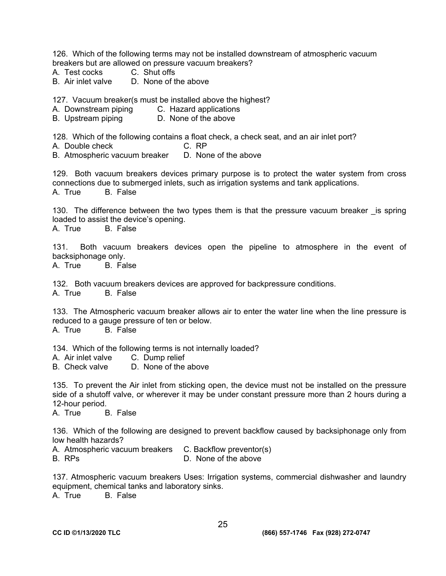126. Which of the following terms may not be installed downstream of atmospheric vacuum breakers but are allowed on pressure vacuum breakers?

- A. Test cocks C. Shut offs
- B. Air inlet valve D. None of the above

127. Vacuum breaker(s must be installed above the highest?

- A. Downstream piping C. Hazard applications
- B. Upstream piping D. None of the above

128. Which of the following contains a float check, a check seat, and an air inlet port?

A. Double check C. RP

B. Atmospheric vacuum breaker D. None of the above

129. Both vacuum breakers devices primary purpose is to protect the water system from cross connections due to submerged inlets, such as irrigation systems and tank applications. A. True B. False

130. The difference between the two types them is that the pressure vacuum breaker is spring loaded to assist the device's opening.

A. True B. False

131. Both vacuum breakers devices open the pipeline to atmosphere in the event of backsiphonage only.

A. True B. False

132. Both vacuum breakers devices are approved for backpressure conditions.

A. True B. False

133. The Atmospheric vacuum breaker allows air to enter the water line when the line pressure is reduced to a gauge pressure of ten or below.

A. True B. False

134. Which of the following terms is not internally loaded?

- A. Air inlet valve C. Dump relief
- B. Check valve D. None of the above

135. To prevent the Air inlet from sticking open, the device must not be installed on the pressure side of a shutoff valve, or wherever it may be under constant pressure more than 2 hours during a 12-hour period.

A. True B. False

136. Which of the following are designed to prevent backflow caused by backsiphonage only from low health hazards?

- A. Atmospheric vacuum breakers C. Backflow preventor(s)
- B. RPs D. None of the above

137. Atmospheric vacuum breakers Uses: Irrigation systems, commercial dishwasher and laundry equipment, chemical tanks and laboratory sinks.

A. True B. False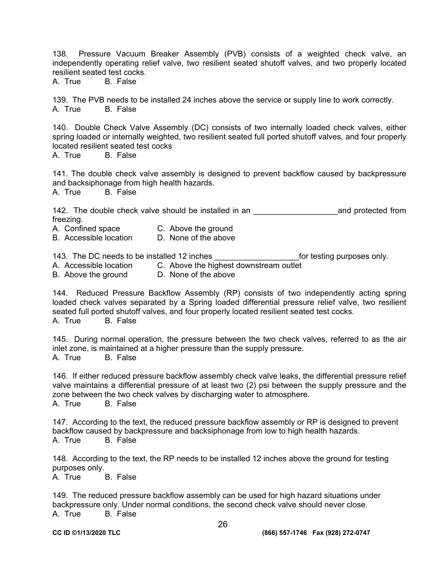138. Pressure Vacuum Breaker Assembly (PVB) consists of a weighted check valve, an independently operating relief valve, two resilient seated shutoff valves, and two properly located resilient seated test cocks.

A. True B. False

139. The PVB needs to be installed 24 inches above the service or supply line to work correctly. A. True B. False

140. Double Check Valve Assembly (DC) consists of two internally loaded check valves, either spring loaded or internally weighted, two resilient seated full ported shutoff valves, and four properly located resilient seated test cocks

A. True B. False

141. The double check valve assembly is designed to prevent backflow caused by backpressure and backsiphonage from high health hazards.

A. True B. False

142. The double check valve should be installed in an **Example 20** and protected from freezing.

- A. Confined space C. Above the ground
- B. Accessible location D. None of the above

143. The DC needs to be installed 12 inches the state of the for testing purposes only.

- A. Accessible location C. Above the highest downstream outlet
- B. Above the ground D. None of the above

144. Reduced Pressure Backflow Assembly (RP) consists of two independently acting spring loaded check valves separated by a Spring loaded differential pressure relief valve, two resilient seated full ported shutoff valves, and four properly located resilient seated test cocks. A. True B. False

145. During normal operation, the pressure between the two check valves, referred to as the air inlet zone, is maintained at a higher pressure than the supply pressure. A. True B. False

146. If either reduced pressure backflow assembly check valve leaks, the differential pressure relief valve maintains a differential pressure of at least two (2) psi between the supply pressure and the zone between the two check valves by discharging water to atmosphere. A. True B. False

147. According to the text, the reduced pressure backflow assembly or RP is designed to prevent backflow caused by backpressure and backsiphonage from low to high health hazards. A. True B. False

148. According to the text, the RP needs to be installed 12 inches above the ground for testing purposes only.

A. True B. False

149. The reduced pressure backflow assembly can be used for high hazard situations under backpressure only. Under normal conditions, the second check valve should never close. A. True B. False